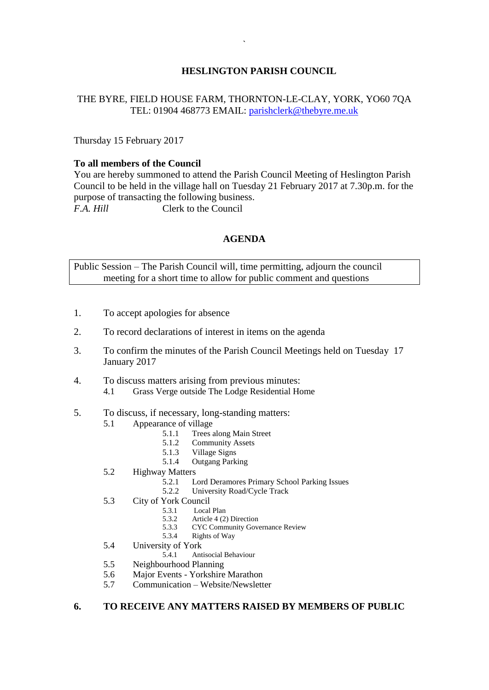# **HESLINGTON PARISH COUNCIL**

## THE BYRE, FIELD HOUSE FARM, THORNTON-LE-CLAY, YORK, YO60 7QA TEL: 01904 468773 EMAIL: [parishclerk@thebyre.me.uk](mailto:parishclerk@thebyre.me.uk)

Thursday 15 February 2017

#### **To all members of the Council**

You are hereby summoned to attend the Parish Council Meeting of Heslington Parish Council to be held in the village hall on Tuesday 21 February 2017 at 7.30p.m. for the purpose of transacting the following business. *F.A. Hill* Clerk to the Council

## **AGENDA**

Public Session – The Parish Council will, time permitting, adjourn the council meeting for a short time to allow for public comment and questions

- 1. To accept apologies for absence
- 2. To record declarations of interest in items on the agenda
- 3. To confirm the minutes of the Parish Council Meetings held on Tuesday 17 January 2017
- 4. To discuss matters arising from previous minutes: 4.1 Grass Verge outside The Lodge Residential Home
- 5. To discuss, if necessary, long-standing matters:
	- 5.1 Appearance of village
		- 5.1.1 Trees along Main Street
		- 5.1.2 Community Assets<br>5.1.3 Village Signs
		- 5.1.3 Village Signs<br>5.1.4 Outgang Park
		- 5.1.4 Outgang Parking
	- 5.2 Highway Matters
		- 5.2.1 Lord Deramores Primary School Parking Issues<br>5.2.2 University Road/Cycle Track
		- University Road/Cycle Track
	- 5.3 City of York Council
		- 5.3.1 Local Plan<br>5.3.2 Article 4 (2
		- 5.3.2 Article 4 (2) Direction<br>5.3.3 CYC Community Gove
		- 5.3.3 CYC Community Governance Review
		- 5.3.4 Rights of Way
	- 5.4 University of York<br>5.4.1 Ant
		- 5.4.1 Antisocial Behaviour
	- 5.5 Neighbourhood Planning
	- 5.6 Major Events Yorkshire Marathon
	- 5.7 Communication Website/Newsletter

#### **6. TO RECEIVE ANY MATTERS RAISED BY MEMBERS OF PUBLIC**